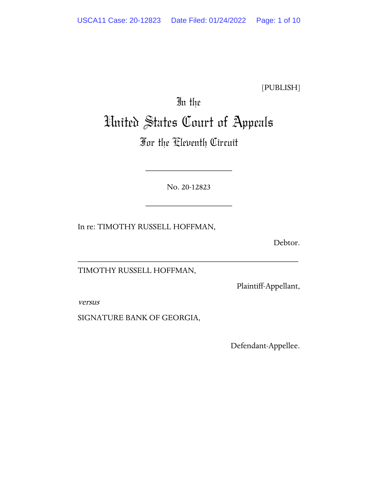[PUBLISH]

# In the United States Court of Appeals

## For the Eleventh Circuit

No. 20-12823

\_\_\_\_\_\_\_\_\_\_\_\_\_\_\_\_\_\_\_\_

\_\_\_\_\_\_\_\_\_\_\_\_\_\_\_\_\_\_\_\_\_\_\_\_\_\_\_\_\_\_\_\_\_\_\_\_\_\_\_\_\_\_\_\_\_\_\_\_\_\_\_

\_\_\_\_\_\_\_\_\_\_\_\_\_\_\_\_\_\_\_\_

In re: TIMOTHY RUSSELL HOFFMAN,

Debtor.

TIMOTHY RUSSELL HOFFMAN,

Plaintiff-Appellant,

versus

SIGNATURE BANK OF GEORGIA,

Defendant-Appellee.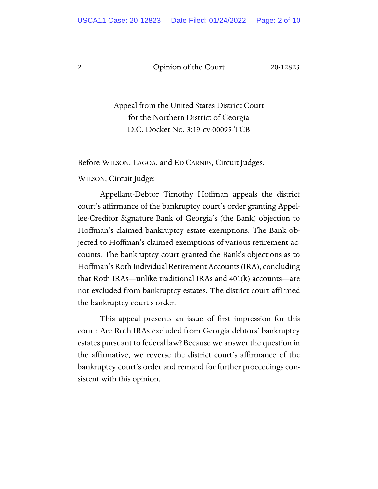\_\_\_\_\_\_\_\_\_\_\_\_\_\_\_\_\_\_\_\_

Appeal from the United States District Court for the Northern District of Georgia D.C. Docket No. 3:19-cv-00095-TCB

\_\_\_\_\_\_\_\_\_\_\_\_\_\_\_\_\_\_\_\_

Before WILSON, LAGOA, and ED CARNES, Circuit Judges.

WILSON, Circuit Judge:

Appellant-Debtor Timothy Hoffman appeals the district court's affirmance of the bankruptcy court's order granting Appellee-Creditor Signature Bank of Georgia's (the Bank) objection to Hoffman's claimed bankruptcy estate exemptions. The Bank objected to Hoffman's claimed exemptions of various retirement accounts. The bankruptcy court granted the Bank's objections as to Hoffman's Roth Individual Retirement Accounts(IRA), concluding that Roth IRAs—unlike traditional IRAs and 401(k) accounts—are not excluded from bankruptcy estates. The district court affirmed the bankruptcy court's order.

This appeal presents an issue of first impression for this court: Are Roth IRAs excluded from Georgia debtors' bankruptcy estates pursuant to federal law? Because we answer the question in the affirmative, we reverse the district court's affirmance of the bankruptcy court's order and remand for further proceedings consistent with this opinion.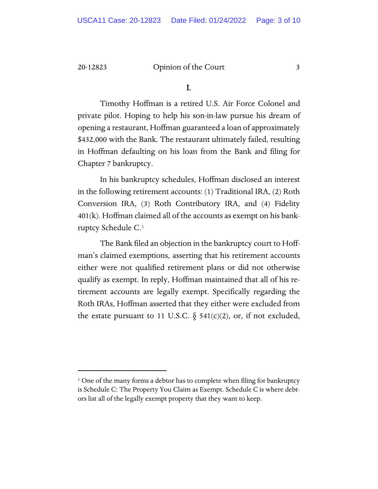I.

Timothy Hoffman is a retired U.S. Air Force Colonel and private pilot. Hoping to help his son-in-law pursue his dream of opening a restaurant, Hoffman guaranteed a loan of approximately \$432,000 with the Bank. The restaurant ultimately failed, resulting in Hoffman defaulting on his loan from the Bank and filing for Chapter 7 bankruptcy.

In his bankruptcy schedules, Hoffman disclosed an interest in the following retirement accounts: (1) Traditional IRA, (2) Roth Conversion IRA, (3) Roth Contributory IRA, and (4) Fidelity 401(k). Hoffman claimed all of the accounts as exempt on his bankruptcy Schedule C.[1](#page-2-0)

The Bank filed an objection in the bankruptcy court to Hoffman's claimed exemptions, asserting that his retirement accounts either were not qualified retirement plans or did not otherwise qualify as exempt. In reply, Hoffman maintained that all of his retirement accounts are legally exempt. Specifically regarding the Roth IRAs, Hoffman asserted that they either were excluded from the estate pursuant to 11 U.S.C.  $\S$  541(c)(2), or, if not excluded,

<span id="page-2-0"></span><sup>&</sup>lt;sup>1</sup> One of the many forms a debtor has to complete when filing for bankruptcy is Schedule C: The Property You Claim as Exempt. Schedule C is where debtors list all of the legally exempt property that they want to keep.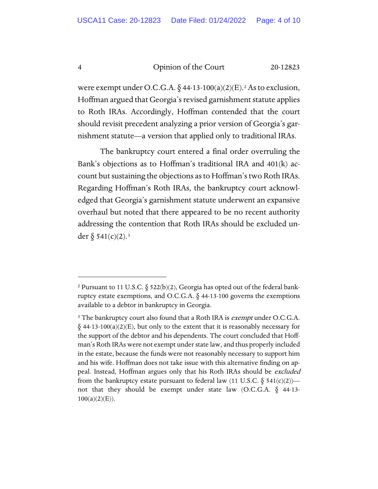were exempt under O.C.G.A.  $\S$  44-13-100(a)([2](#page-3-0))(E).<sup>2</sup> As to exclusion, Hoffman argued that Georgia's revised garnishment statute applies to Roth IRAs. Accordingly, Hoffman contended that the court should revisit precedent analyzing a prior version of Georgia's garnishment statute—a version that applied only to traditional IRAs.

The bankruptcy court entered a final order overruling the Bank's objections as to Hoffman's traditional IRA and 401(k) account but sustaining the objections as to Hoffman's two Roth IRAs. Regarding Hoffman's Roth IRAs, the bankruptcy court acknowledged that Georgia's garnishment statute underwent an expansive overhaul but noted that there appeared to be no recent authority addressing the contention that Roth IRAs should be excluded under  $\S 541(c)(2).$ <sup>[3](#page-3-1)</sup>

<span id="page-3-0"></span><sup>&</sup>lt;sup>2</sup> Pursuant to 11 U.S.C.  $\S$  522(b)(2), Georgia has opted out of the federal bankruptcy estate exemptions, and O.C.G.A.  $\delta$  44-13-100 governs the exemptions available to a debtor in bankruptcy in Georgia.

<span id="page-3-1"></span><sup>&</sup>lt;sup>3</sup> The bankruptcy court also found that a Roth IRA is *exempt* under O.C.G.A.  $\S$  44-13-100(a)(2)(E), but only to the extent that it is reasonably necessary for the support of the debtor and his dependents. The court concluded that Hoffman's Roth IRAs were not exempt under state law, and thus properly included in the estate, because the funds were not reasonably necessary to support him and his wife. Hoffman does not take issue with this alternative finding on appeal. Instead, Hoffman argues only that his Roth IRAs should be *excluded* from the bankruptcy estate pursuant to federal law (11 U.S.C.  $\S$  541(c)(2)) not that they should be exempt under state law (O.C.G.A.  $\S$  44-13- $100(a)(2)(E)$ ).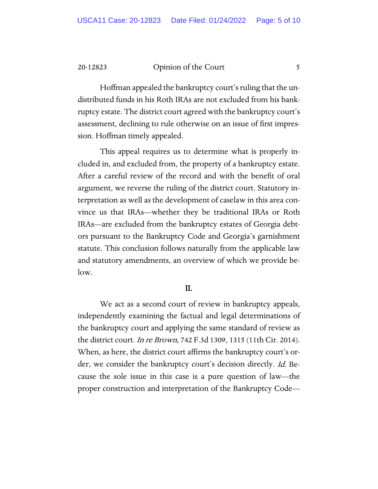Hoffman appealed the bankruptcy court's ruling that the undistributed funds in his Roth IRAs are not excluded from his bankruptcy estate. The district court agreed with the bankruptcy court's assessment, declining to rule otherwise on an issue of first impression. Hoffman timely appealed.

This appeal requires us to determine what is properly included in, and excluded from, the property of a bankruptcy estate. After a careful review of the record and with the benefit of oral argument, we reverse the ruling of the district court. Statutory interpretation as well as the development of caselaw in this area convince us that IRAs—whether they be traditional IRAs or Roth IRAs—are excluded from the bankruptcy estates of Georgia debtors pursuant to the Bankruptcy Code and Georgia's garnishment statute. This conclusion follows naturally from the applicable law and statutory amendments, an overview of which we provide below.

#### II.

We act as a second court of review in bankruptcy appeals, independently examining the factual and legal determinations of the bankruptcy court and applying the same standard of review as the district court. *In re Brown*, 742 F.3d 1309, 1315 (11th Cir. 2014). When, as here, the district court affirms the bankruptcy court's order, we consider the bankruptcy court's decision directly. Id. Because the sole issue in this case is a pure question of law—the proper construction and interpretation of the Bankruptcy Code—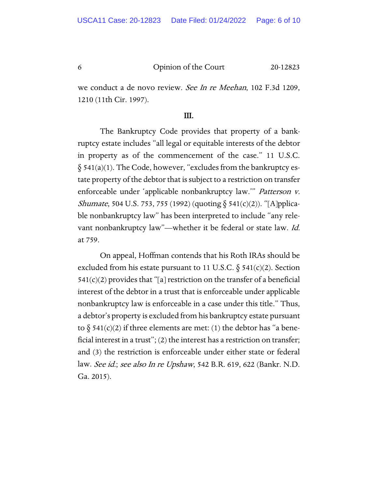we conduct a de novo review. See In re Meehan, 102 F.3d 1209, 1210 (11th Cir. 1997).

#### III.

The Bankruptcy Code provides that property of a bankruptcy estate includes "all legal or equitable interests of the debtor in property as of the commencement of the case." 11 U.S.C.  $§ 541(a)(1)$ . The Code, however, "excludes from the bankruptcy estate property of the debtor that is subject to a restriction on transfer enforceable under 'applicable nonbankruptcy law.'" Patterson v. *Shumate*, 504 U.S. 753, 755 (1992) (quoting  $\delta$  541(c)(2)). "[A]pplicable nonbankruptcy law" has been interpreted to include "any relevant nonbankruptcy law"—whether it be federal or state law. Id. at 759.

On appeal, Hoffman contends that his Roth IRAs should be excluded from his estate pursuant to 11 U.S.C.  $\S$  541(c)(2). Section  $541(c)(2)$  provides that "[a] restriction on the transfer of a beneficial interest of the debtor in a trust that is enforceable under applicable nonbankruptcy law is enforceable in a case under this title." Thus, a debtor's property is excluded from his bankruptcy estate pursuant to  $\S$  541(c)(2) if three elements are met: (1) the debtor has "a beneficial interest in a trust"; (2) the interest has a restriction on transfer; and (3) the restriction is enforceable under either state or federal law. See id.; see also In re Upshaw, 542 B.R. 619, 622 (Bankr. N.D. Ga. 2015).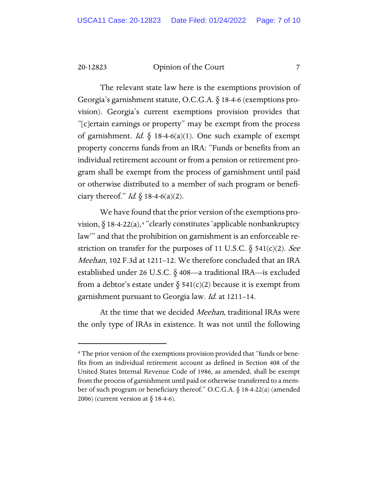The relevant state law here is the exemptions provision of Georgia's garnishment statute, O.C.G.A. § 18-4-6 (exemptions provision). Georgia's current exemptions provision provides that "[c]ertain earnings or property" may be exempt from the process of garnishment. *Id.*  $\S$  18-4-6(a)(1). One such example of exempt property concerns funds from an IRA: "Funds or benefits from an individual retirement account or from a pension or retirement program shall be exempt from the process of garnishment until paid or otherwise distributed to a member of such program or beneficiary thereof." *Id.*  $\S$  18-4-6(a)(2).

We have found that the prior version of the exemptions provision,  $\delta$  18-[4](#page-6-0)-22(a),<sup>4</sup> "clearly constitutes 'applicable nonbankruptcy law'" and that the prohibition on garnishment is an enforceable restriction on transfer for the purposes of 11 U.S.C.  $\S$  541(c)(2). See Meehan, 102 F.3d at 1211–12. We therefore concluded that an IRA established under 26 U.S.C. § 408—a traditional IRA—is excluded from a debtor's estate under  $\S$  541(c)(2) because it is exempt from garnishment pursuant to Georgia law. Id. at 1211–14.

At the time that we decided *Meehan*, traditional IRAs were the only type of IRAs in existence. It was not until the following

<span id="page-6-0"></span><sup>4</sup> The prior version of the exemptions provision provided that "funds or benefits from an individual retirement account as defined in Section 408 of the United States Internal Revenue Code of 1986, as amended, shall be exempt from the process of garnishment until paid or otherwise transferred to a member of such program or beneficiary thereof." O.C.G.A. § 18-4-22(a) (amended 2006) (current version at  $\S$  18-4-6).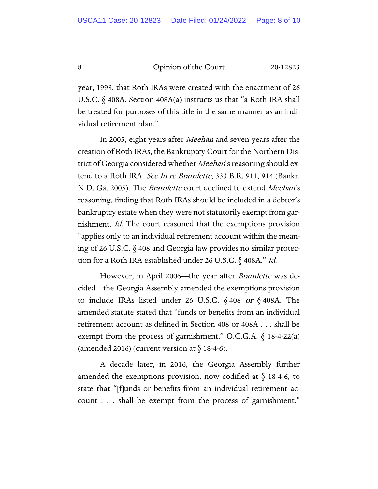year, 1998, that Roth IRAs were created with the enactment of 26 U.S.C. § 408A. Section 408A(a) instructs us that "a Roth IRA shall be treated for purposes of this title in the same manner as an individual retirement plan."

In 2005, eight years after *Meehan* and seven years after the creation of Roth IRAs, the Bankruptcy Court for the Northern District of Georgia considered whether *Meehan*'s reasoning should extend to a Roth IRA. See In re Bramlette, 333 B.R. 911, 914 (Bankr. N.D. Ga. 2005). The *Bramlette* court declined to extend *Meehan's* reasoning, finding that Roth IRAs should be included in a debtor's bankruptcy estate when they were not statutorily exempt from garnishment. Id. The court reasoned that the exemptions provision "applies only to an individual retirement account within the meaning of 26 U.S.C. § 408 and Georgia law provides no similar protection for a Roth IRA established under 26 U.S.C. § 408A." Id.

However, in April 2006—the year after *Bramlette* was decided—the Georgia Assembly amended the exemptions provision to include IRAs listed under 26 U.S.C.  $\S$  408 or  $\S$  408A. The amended statute stated that "funds or benefits from an individual retirement account as defined in Section 408 or 408A . . . shall be exempt from the process of garnishment." O.C.G.A.  $\S$  18-4-22(a) (amended 2016) (current version at  $\S$  18-4-6).

A decade later, in 2016, the Georgia Assembly further amended the exemptions provision, now codified at  $\S$  18-4-6, to state that "[f]unds or benefits from an individual retirement account . . . shall be exempt from the process of garnishment."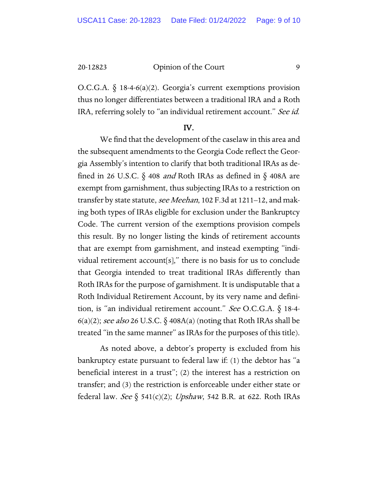O.C.G.A.  $\S$  18-4-6(a)(2). Georgia's current exemptions provision thus no longer differentiates between a traditional IRA and a Roth IRA, referring solely to "an individual retirement account." See id.

#### IV.

We find that the development of the caselaw in this area and the subsequent amendments to the Georgia Code reflect the Georgia Assembly's intention to clarify that both traditional IRAs as defined in 26 U.S.C.  $\S$  408 *and* Roth IRAs as defined in  $\S$  408A are exempt from garnishment, thus subjecting IRAs to a restriction on transfer by state statute, see Meehan, 102 F.3d at 1211-12, and making both types of IRAs eligible for exclusion under the Bankruptcy Code. The current version of the exemptions provision compels this result. By no longer listing the kinds of retirement accounts that are exempt from garnishment, and instead exempting "individual retirement account[s]," there is no basis for us to conclude that Georgia intended to treat traditional IRAs differently than Roth IRAs for the purpose of garnishment. It is undisputable that a Roth Individual Retirement Account, by its very name and definition, is "an individual retirement account." See O.C.G.A. § 18-4-  $6(a)(2)$ ; see also 26 U.S.C.  $\S$  408A(a) (noting that Roth IRAs shall be treated "in the same manner" as IRAs for the purposes of this title).

As noted above, a debtor's property is excluded from his bankruptcy estate pursuant to federal law if: (1) the debtor has "a beneficial interest in a trust"; (2) the interest has a restriction on transfer; and (3) the restriction is enforceable under either state or federal law. See § 541(c)(2); Upshaw, 542 B.R. at 622. Roth IRAs